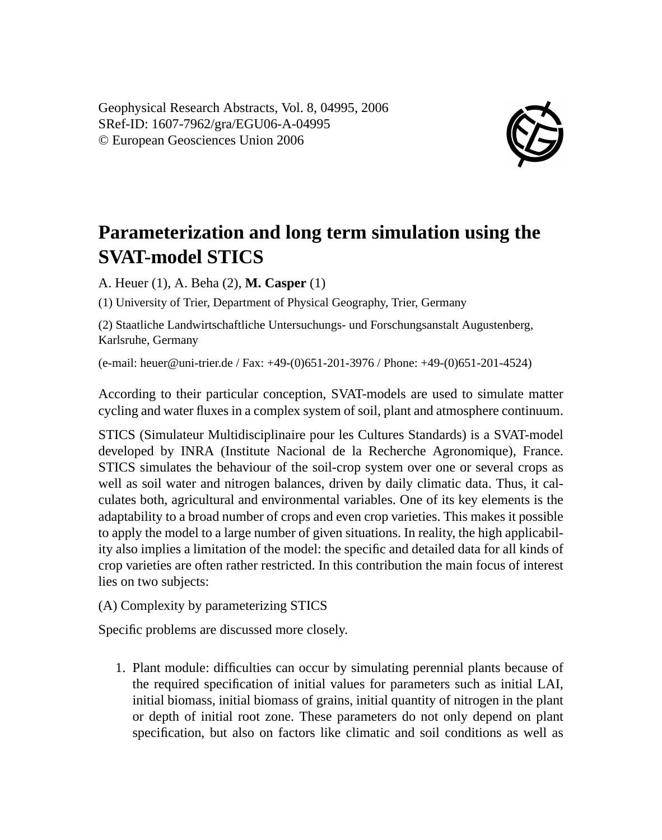Geophysical Research Abstracts, Vol. 8, 04995, 2006 SRef-ID: 1607-7962/gra/EGU06-A-04995 © European Geosciences Union 2006



## **Parameterization and long term simulation using the SVAT-model STICS**

A. Heuer (1), A. Beha (2), **M. Casper** (1)

(1) University of Trier, Department of Physical Geography, Trier, Germany

(2) Staatliche Landwirtschaftliche Untersuchungs- und Forschungsanstalt Augustenberg, Karlsruhe, Germany

(e-mail: heuer@uni-trier.de / Fax: +49-(0)651-201-3976 / Phone: +49-(0)651-201-4524)

According to their particular conception, SVAT-models are used to simulate matter cycling and water fluxes in a complex system of soil, plant and atmosphere continuum.

STICS (Simulateur Multidisciplinaire pour les Cultures Standards) is a SVAT-model developed by INRA (Institute Nacional de la Recherche Agronomique), France. STICS simulates the behaviour of the soil-crop system over one or several crops as well as soil water and nitrogen balances, driven by daily climatic data. Thus, it calculates both, agricultural and environmental variables. One of its key elements is the adaptability to a broad number of crops and even crop varieties. This makes it possible to apply the model to a large number of given situations. In reality, the high applicability also implies a limitation of the model: the specific and detailed data for all kinds of crop varieties are often rather restricted. In this contribution the main focus of interest lies on two subjects:

(A) Complexity by parameterizing STICS

Specific problems are discussed more closely.

1. Plant module: difficulties can occur by simulating perennial plants because of the required specification of initial values for parameters such as initial LAI, initial biomass, initial biomass of grains, initial quantity of nitrogen in the plant or depth of initial root zone. These parameters do not only depend on plant specification, but also on factors like climatic and soil conditions as well as